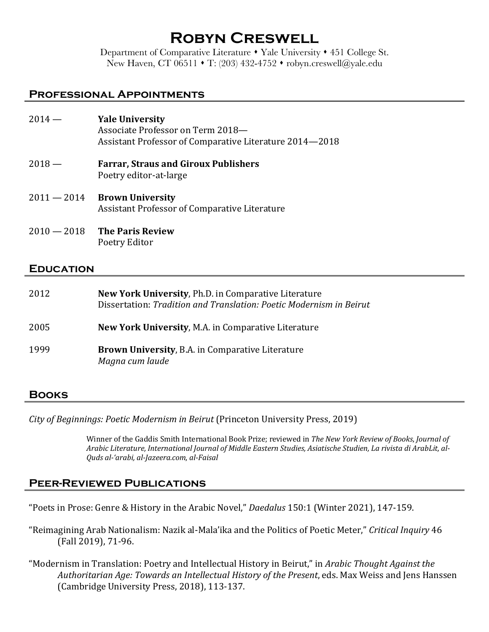# **Robyn Creswell**

Department of Comparative Literature • Yale University • 451 College St. New Haven, CT 06511  $\cdot$  T: (203) 432-4752  $\cdot$  robyn.creswell@yale.edu

#### **Professional Appointments**

| $2014 -$      | <b>Yale University</b><br>Associate Professor on Term 2018-<br>Assistant Professor of Comparative Literature 2014–2018 |
|---------------|------------------------------------------------------------------------------------------------------------------------|
| $2018 -$      | <b>Farrar, Straus and Giroux Publishers</b><br>Poetry editor-at-large                                                  |
| $2011 - 2014$ | <b>Brown University</b><br>Assistant Professor of Comparative Literature                                               |
| $2010 - 2018$ | <b>The Paris Review</b><br>Poetry Editor                                                                               |

#### **Education**

| 2012 | <b>New York University, Ph.D. in Comparative Literature</b><br>Dissertation: Tradition and Translation: Poetic Modernism in Beirut |
|------|------------------------------------------------------------------------------------------------------------------------------------|
| 2005 | <b>New York University, M.A. in Comparative Literature</b>                                                                         |
| 1999 | <b>Brown University, B.A. in Comparative Literature</b><br>Magna cum laude                                                         |

#### **Books**

*City of Beginnings: Poetic Modernism in Beirut* (Princeton University Press, 2019)

Winner of the Gaddis Smith International Book Prize; reviewed in *The New York Review of Books*, *Journal of* Arabic Literature, International Journal of Middle Eastern Studies, Asiatische Studien, La rivista di ArabLit, al-*Quds al-'arabi, al-Jazeera.com*, *al-Faisal*

#### **Peer-Reviewed Publications**

"Poets in Prose: Genre & History in the Arabic Novel," *Daedalus* 150:1 (Winter 2021), 147-159.

"Reimagining Arab Nationalism: Nazik al-Mala'ika and the Politics of Poetic Meter," *Critical Inquiry* 46 (Fall 2019), 71-96.

"Modernism in Translation: Poetry and Intellectual History in Beirut," in Arabic Thought Against the *Authoritarian Age: Towards an Intellectual History of the Present*, eds. Max Weiss and Jens Hanssen (Cambridge University Press, 2018), 113-137.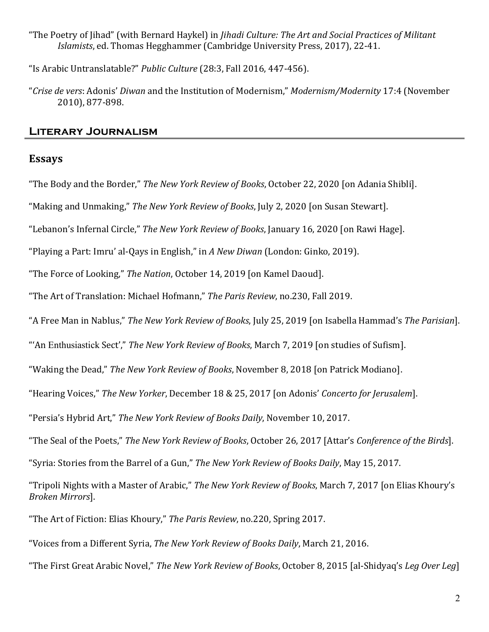"The Poetry of Jihad" (with Bernard Haykel) in *Jihadi Culture: The Art and Social Practices of Militant Islamists*, ed. Thomas Hegghammer (Cambridge University Press, 2017), 22-41.

"Is Arabic Untranslatable?" Public Culture (28:3, Fall 2016, 447-456).

"Crise de vers: Adonis' *Diwan* and the Institution of Modernism," *Modernism/Modernity* 17:4 (November 2010), 877-898.

# **Literary Journalism**

#### **Essays**

"The Body and the Border," *The New York Review of Books*, October 22, 2020 [on Adania Shibli].

"Making and Unmaking," *The New York Review of Books*, July 2, 2020 [on Susan Stewart].

"Lebanon's Infernal Circle," The New York Review of Books, January 16, 2020 [on Rawi Hage].

"Playing a Part: Imru' al-Qays in English," in A New Diwan (London: Ginko, 2019).

"The Force of Looking," The Nation, October 14, 2019 [on Kamel Daoud].

"The Art of Translation: Michael Hofmann," *The Paris Review*, no.230, Fall 2019.

"A Free Man in Nablus," *The New York Review of Books*, July 25, 2019 [on Isabella Hammad's *The Parisian*].

"An Enthusiastick Sect'," The New York Review of Books, March 7, 2019 [on studies of Sufism].

"Waking the Dead," *The New York Review of Books*, November 8, 2018 [on Patrick Modiano].

"Hearing Voices," *The New Yorker*, December 18 & 25, 2017 [on Adonis' *Concerto for Jerusalem*].

"Persia's Hybrid Art," The New York Review of Books Daily, November 10, 2017.

"The Seal of the Poets," *The New York Review of Books*, October 26, 2017 [Attar's *Conference of the Birds*].

"Syria: Stories from the Barrel of a Gun," The New York Review of Books Daily, May 15, 2017.

"Tripoli Nights with a Master of Arabic," *The New York Review of Books*, March 7, 2017 [on Elias Khoury's *Broken Mirrors*].

"The Art of Fiction: Elias Khoury," The Paris Review, no.220, Spring 2017.

"Voices from a Different Syria, *The New York Review of Books Daily*, March 21, 2016.

"The First Great Arabic Novel," The New York Review of Books, October 8, 2015 [al-Shidyaq's *Leg Over Leg*]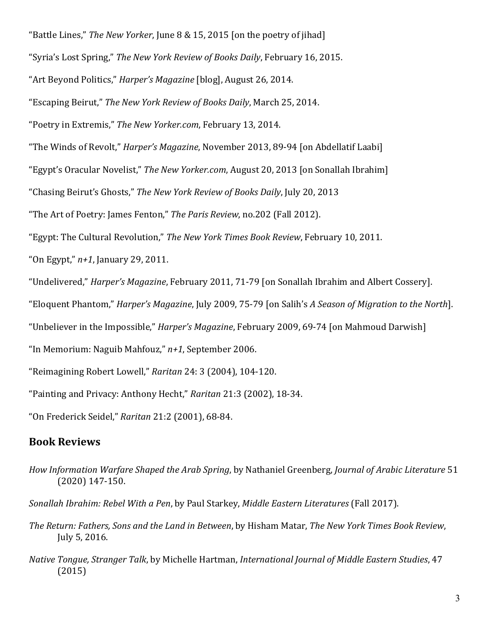"Battle Lines," *The New Yorker*, June 8 & 15, 2015 [on the poetry of jihad]

"Syria's Lost Spring," The New York Review of Books Daily, February 16, 2015.

"Art Beyond Politics," *Harper's Magazine* [blog], August 26, 2014.

"Escaping Beirut," *The New York Review of Books Daily*, March 25, 2014.

"Poetry in Extremis," The New Yorker.com, February 13, 2014.

"The Winds of Revolt," *Harper's Magazine*, November 2013, 89-94 [on Abdellatif Laabi]

"Egypt's Oracular Novelist," The New Yorker.com, August 20, 2013 [on Sonallah Ibrahim]

"Chasing Beirut's Ghosts," *The New York Review of Books Daily*, July 20, 2013

"The Art of Poetry: James Fenton," The Paris Review, no.202 (Fall 2012).

"Egypt: The Cultural Revolution," *The New York Times Book Review*, February 10, 2011.

"On Egypt,"  $n+1$ , January 29, 2011.

"Undelivered," *Harper's Magazine*, February 2011, 71-79 [on Sonallah Ibrahim and Albert Cossery].

"Eloquent Phantom," *Harper's Magazine*, July 2009, 75-79 [on Salih's *A Season of Migration to the North*].

"Unbeliever in the Impossible," *Harper's Magazine*, February 2009, 69-74 [on Mahmoud Darwish]

"In Memorium: Naguib Mahfouz,"  $n+1$ , September 2006.

"Reimagining Robert Lowell," *Raritan* 24: 3 (2004), 104-120.

"Painting and Privacy: Anthony Hecht," *Raritan* 21:3 (2002), 18-34.

"On Frederick Seidel," *Raritan* 21:2 (2001), 68-84.

#### **Book Reviews**

*How Information Warfare Shaped the Arab Spring*, by Nathaniel Greenberg, *Journal of Arabic Literature* 51 (2020) 147-150.

*Sonallah Ibrahim: Rebel With a Pen, by Paul Starkey, Middle Eastern Literatures* (Fall 2017).

- *The Return: Fathers, Sons and the Land in Between*, by Hisham Matar, *The New York Times Book Review*, July 5, 2016.
- *Native Tongue, Stranger Talk*, by Michelle Hartman, *International Journal of Middle Eastern Studies*, 47 (2015)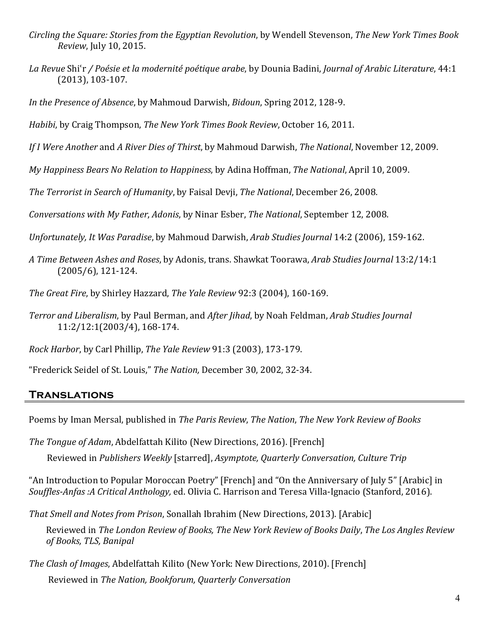- *Circling the Square: Stories from the Egyptian Revolution*, by Wendell Stevenson, *The New York Times Book Review*, July 10, 2015.
- *La Revue* Shiʿr */ Poésie et la modernité poétique arabe*, by Dounia Badini, *Journal of Arabic Literature*, 44:1 (2013), 103-107.
- *In the Presence of Absence*, by Mahmoud Darwish, *Bidoun*, *Spring* 2012, 128-9.
- *Habibi*, by Craig Thompson, *The New York Times Book Review*, October 16, 2011.
- *If I Were Another* and *A River Dies of Thirst*, by Mahmoud Darwish, *The National*, November 12, 2009.
- *My Happiness Bears No Relation to Happiness*, by Adina Hoffman, *The National*, April 10, 2009.
- *The Terrorist in Search of Humanity*, by Faisal Devii, *The National*, December 26, 2008.
- *Conversations with My Father, Adonis, by Ninar Esber, The National, September 12, 2008.*
- *Unfortunately, It Was Paradise, by Mahmoud Darwish, Arab Studies Journal* 14:2 (2006), 159-162.
- *A Time Between Ashes and Roses*, by Adonis, trans. Shawkat Toorawa, *Arab Studies Journal* 13:2/14:1  $(2005/6)$ , 121-124.
- *The Great Fire, by Shirley Hazzard, The Yale Review* 92:3 (2004), 160-169.
- *Terror and Liberalism*, by Paul Berman, and *After Jihad*, by Noah Feldman, *Arab Studies Journal* 11:2/12:1(2003/4), 168-174.
- *Rock Harbor*, by Carl Phillip, *The Yale Review* 91:3 (2003), 173-179.
- "Frederick Seidel of St. Louis," *The Nation,* December 30, 2002, 32-34.

# **Translations**

Poems by Iman Mersal, published in *The Paris Review*, *The Nation*, *The New York Review of Books* 

- *The Tongue of Adam*, Abdelfattah Kilito (New Directions, 2016). [French]
	- Reviewed in *Publishers Weekly* [starred], *Asymptote, Quarterly Conversation, Culture Trip*

"An Introduction to Popular Moroccan Poetry" [French] and "On the Anniversary of July 5" [Arabic] in *Souffles-Anfas :A Critical Anthology,* ed. Olivia C. Harrison and Teresa Villa-Ignacio (Stanford, 2016).

*That Smell and Notes from Prison*, Sonallah Ibrahim (New Directions, 2013). [Arabic]

Reviewed in *The London Review of Books, The New York Review of Books Daily, The Los Angles Review of Books, TLS, Banipal*

*The Clash of Images, Abdelfattah Kilito (New York: New Directions, 2010).* [French] Reviewed in *The Nation, Bookforum, Quarterly Conversation*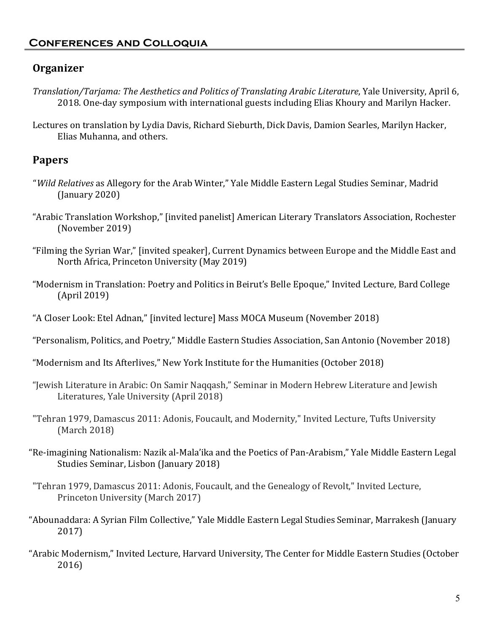# **Organizer**

- *Translation/Tarjama: The Aesthetics and Politics of Translating Arabic Literature, Yale University, April 6,* 2018. One-day symposium with international guests including Elias Khoury and Marilyn Hacker.
- Lectures on translation by Lydia Davis, Richard Sieburth, Dick Davis, Damion Searles, Marilyn Hacker, Elias Muhanna, and others.

# **Papers**

- "*Wild Relatives* as Allegory for the Arab Winter," Yale Middle Eastern Legal Studies Seminar, Madrid  $($ [January 2020)
- "Arabic Translation Workshop," [invited panelist] American Literary Translators Association, Rochester (November 2019)
- "Filming the Syrian War," [invited speaker], Current Dynamics between Europe and the Middle East and North Africa, Princeton University (May 2019)
- "Modernism in Translation: Poetry and Politics in Beirut's Belle Epoque," Invited Lecture, Bard College (April 2019)
- "A Closer Look: Etel Adnan," [invited lecture] Mass MOCA Museum (November 2018)
- "Personalism, Politics, and Poetry," Middle Eastern Studies Association, San Antonio (November 2018)
- "Modernism and Its Afterlives," New York Institute for the Humanities (October 2018)
- "Jewish Literature in Arabic: On Samir Naqqash," Seminar in Modern Hebrew Literature and Jewish Literatures, Yale University (April 2018)
- "Tehran 1979, Damascus 2011: Adonis, Foucault, and Modernity," Invited Lecture, Tufts University (March 2018)
- "Re-imagining Nationalism: Nazik al-Mala'ika and the Poetics of Pan-Arabism," Yale Middle Eastern Legal Studies Seminar, Lisbon (January 2018)
- "Tehran 1979, Damascus 2011: Adonis, Foucault, and the Genealogy of Revolt," Invited Lecture, Princeton University (March 2017)
- "Abounaddara: A Syrian Film Collective," Yale Middle Eastern Legal Studies Seminar, Marrakesh (January 2017)
- "Arabic Modernism," Invited Lecture, Harvard University, The Center for Middle Eastern Studies (October 2016)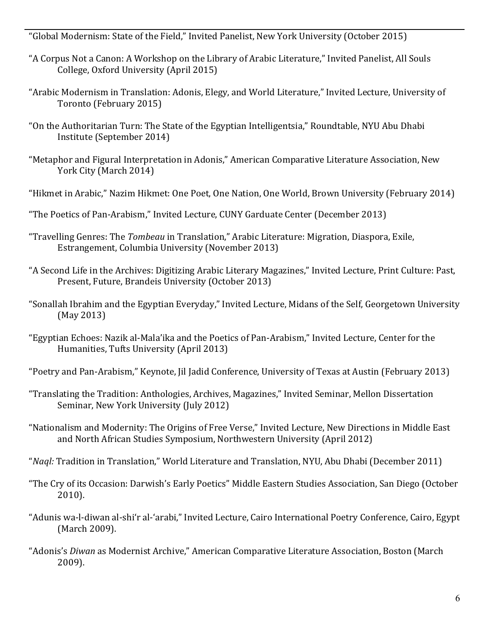"Global Modernism: State of the Field," Invited Panelist, New York University (October 2015)

- "A Corpus Not a Canon: A Workshop on the Library of Arabic Literature," Invited Panelist, All Souls College, Oxford University (April 2015)
- "Arabic Modernism in Translation: Adonis, Elegy, and World Literature," Invited Lecture, University of Toronto (February 2015)
- "On the Authoritarian Turn: The State of the Egyptian Intelligentsia," Roundtable, NYU Abu Dhabi Institute (September 2014)
- "Metaphor and Figural Interpretation in Adonis," American Comparative Literature Association, New York City (March 2014)
- "Hikmet in Arabic," Nazim Hikmet: One Poet, One Nation, One World, Brown University (February 2014)
- "The Poetics of Pan-Arabism," Invited Lecture, CUNY Garduate Center (December 2013)
- "Travelling Genres: The *Tombeau* in Translation," Arabic Literature: Migration, Diaspora, Exile, Estrangement, Columbia University (November 2013)
- "A Second Life in the Archives: Digitizing Arabic Literary Magazines," Invited Lecture, Print Culture: Past, Present, Future, Brandeis University (October 2013)
- "Sonallah Ibrahim and the Egyptian Everyday," Invited Lecture, Midans of the Self, Georgetown University (May 2013)
- "Egyptian Echoes: Nazik al-Mala'ika and the Poetics of Pan-Arabism," Invited Lecture, Center for the Humanities, Tufts University (April 2013)
- "Poetry and Pan-Arabism," Keynote, [il Jadid Conference, University of Texas at Austin (February 2013)
- "Translating the Tradition: Anthologies, Archives, Magazines," Invited Seminar, Mellon Dissertation Seminar, New York University (July 2012)
- "Nationalism and Modernity: The Origins of Free Verse," Invited Lecture, New Directions in Middle East and North African Studies Symposium, Northwestern University (April 2012)
- "*Nagl:* Tradition in Translation," World Literature and Translation, NYU, Abu Dhabi (December 2011)
- "The Cry of its Occasion: Darwish's Early Poetics" Middle Eastern Studies Association, San Diego (October) 2010).
- "Adunis wa-l-diwan al-shi'r al-'arabi," Invited Lecture, Cairo International Poetry Conference, Cairo, Egypt (March 2009).
- "Adonis's *Diwan* as Modernist Archive," American Comparative Literature Association, Boston (March 2009).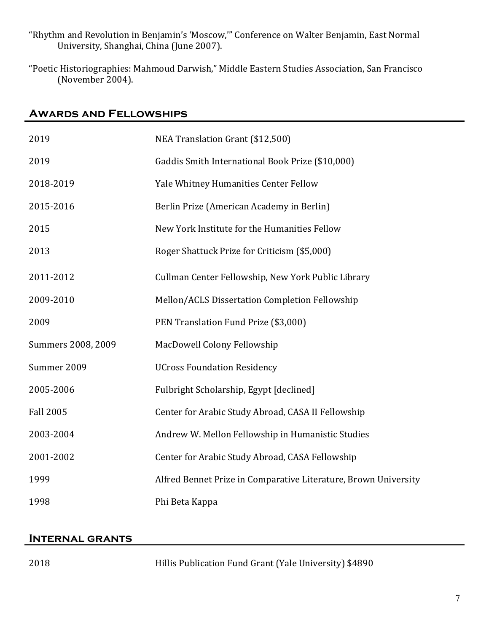- "Rhythm and Revolution in Benjamin's 'Moscow,"" Conference on Walter Benjamin, East Normal University, Shanghai, China (June 2007).
- "Poetic Historiographies: Mahmoud Darwish," Middle Eastern Studies Association, San Francisco (November 2004).

# **Awards and Fellowships**

| 2019               | NEA Translation Grant (\$12,500)                                |
|--------------------|-----------------------------------------------------------------|
| 2019               | Gaddis Smith International Book Prize (\$10,000)                |
| 2018-2019          | Yale Whitney Humanities Center Fellow                           |
| 2015-2016          | Berlin Prize (American Academy in Berlin)                       |
| 2015               | New York Institute for the Humanities Fellow                    |
| 2013               | Roger Shattuck Prize for Criticism (\$5,000)                    |
| 2011-2012          | Cullman Center Fellowship, New York Public Library              |
| 2009-2010          | Mellon/ACLS Dissertation Completion Fellowship                  |
| 2009               | PEN Translation Fund Prize (\$3,000)                            |
| Summers 2008, 2009 | MacDowell Colony Fellowship                                     |
| Summer 2009        | <b>UCross Foundation Residency</b>                              |
| 2005-2006          | Fulbright Scholarship, Egypt [declined]                         |
| <b>Fall 2005</b>   | Center for Arabic Study Abroad, CASA II Fellowship              |
| 2003-2004          | Andrew W. Mellon Fellowship in Humanistic Studies               |
| 2001-2002          | Center for Arabic Study Abroad, CASA Fellowship                 |
| 1999               | Alfred Bennet Prize in Comparative Literature, Brown University |
| 1998               | Phi Beta Kappa                                                  |

#### **Internal grants**

2018 **Hillis Publication Fund Grant (Yale University) \$4890**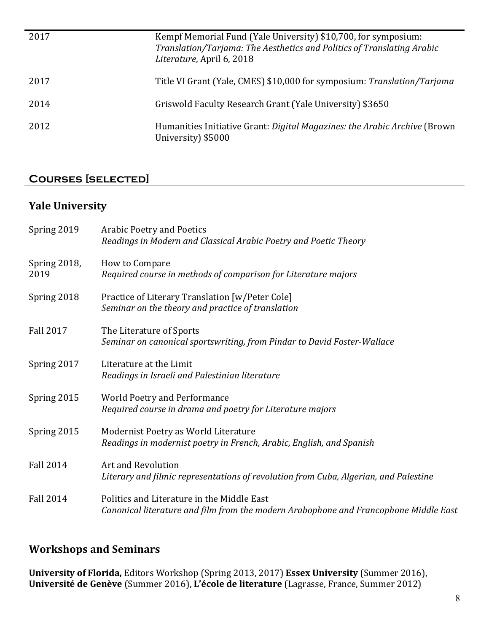| 2017 | Kempf Memorial Fund (Yale University) \$10,700, for symposium:<br>Translation/Tarjama: The Aesthetics and Politics of Translating Arabic<br>Literature, April 6, 2018 |
|------|-----------------------------------------------------------------------------------------------------------------------------------------------------------------------|
| 2017 | Title VI Grant (Yale, CMES) \$10,000 for symposium: Translation/Tarjama                                                                                               |
| 2014 | Griswold Faculty Research Grant (Yale University) \$3650                                                                                                              |
| 2012 | Humanities Initiative Grant: Digital Magazines: the Arabic Archive (Brown)<br>University) \$5000                                                                      |

# **Courses [selected]**

# **Yale University**

| Spring 2019          | <b>Arabic Poetry and Poetics</b><br>Readings in Modern and Classical Arabic Poetry and Poetic Theory                               |
|----------------------|------------------------------------------------------------------------------------------------------------------------------------|
| Spring 2018,<br>2019 | How to Compare<br>Required course in methods of comparison for Literature majors                                                   |
| Spring 2018          | Practice of Literary Translation [w/Peter Cole]<br>Seminar on the theory and practice of translation                               |
| <b>Fall 2017</b>     | The Literature of Sports<br>Seminar on canonical sportswriting, from Pindar to David Foster-Wallace                                |
| Spring 2017          | Literature at the Limit<br>Readings in Israeli and Palestinian literature                                                          |
| Spring 2015          | <b>World Poetry and Performance</b><br>Required course in drama and poetry for Literature majors                                   |
| Spring 2015          | Modernist Poetry as World Literature<br>Readings in modernist poetry in French, Arabic, English, and Spanish                       |
| <b>Fall 2014</b>     | <b>Art and Revolution</b><br>Literary and filmic representations of revolution from Cuba, Algerian, and Palestine                  |
| <b>Fall 2014</b>     | Politics and Literature in the Middle East<br>Canonical literature and film from the modern Arabophone and Francophone Middle East |

# **Workshops and Seminars**

**University of Florida,** Editors Workshop (Spring 2013, 2017) **Essex University** (Summer 2016), **Université de Genève** (Summer 2016), L'école de literature (Lagrasse, France, Summer 2012)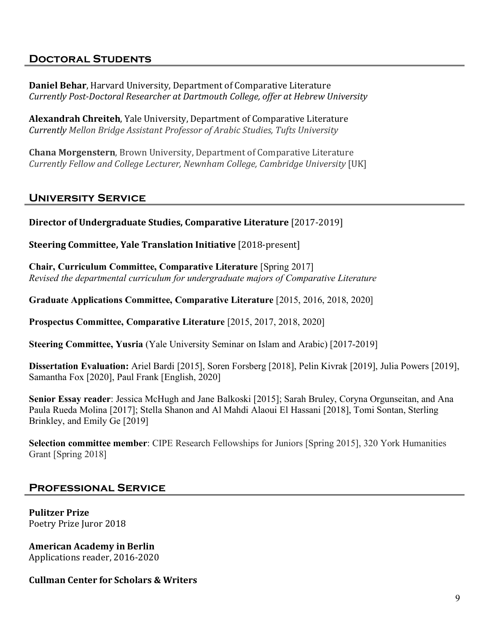# **Doctoral Students**

**Daniel Behar, Harvard University, Department of Comparative Literature** *Currently Post-Doctoral Researcher at Dartmouth College, offer at Hebrew University*

**Alexandrah Chreiteh**, Yale University, Department of Comparative Literature *Currently Mellon Bridge Assistant Professor of Arabic Studies, Tufts University*

**Chana Morgenstern, Brown University, Department of Comparative Literature** *Currently Fellow and College Lecturer, Newnham College, Cambridge University* [UK]

#### **University Service**

**Director of Undergraduate Studies, Comparative Literature** [2017-2019]

**Steering Committee, Yale Translation Initiative** [2018-present]

**Chair, Curriculum Committee, Comparative Literature** [Spring 2017] *Revised the departmental curriculum for undergraduate majors of Comparative Literature*

**Graduate Applications Committee, Comparative Literature** [2015, 2016, 2018, 2020]

**Prospectus Committee, Comparative Literature** [2015, 2017, 2018, 2020]

**Steering Committee, Yusria** (Yale University Seminar on Islam and Arabic) [2017-2019]

**Dissertation Evaluation:** Ariel Bardi [2015], Soren Forsberg [2018], Pelin Kivrak [2019], Julia Powers [2019], Samantha Fox [2020], Paul Frank [English, 2020]

**Senior Essay reader**: Jessica McHugh and Jane Balkoski [2015]; Sarah Bruley, Coryna Orgunseitan, and Ana Paula Rueda Molina [2017]; Stella Shanon and Al Mahdi Alaoui El Hassani [2018], Tomi Sontan, Sterling Brinkley, and Emily Ge [2019]

**Selection committee member**: CIPE Research Fellowships for Juniors [Spring 2015], 320 York Humanities Grant [Spring 2018]

#### **Professional Service**

**Pulitzer Prize**  Poetry Prize Juror 2018

**American Academy in Berlin** Applications reader, 2016-2020

#### **Cullman Center for Scholars & Writers**